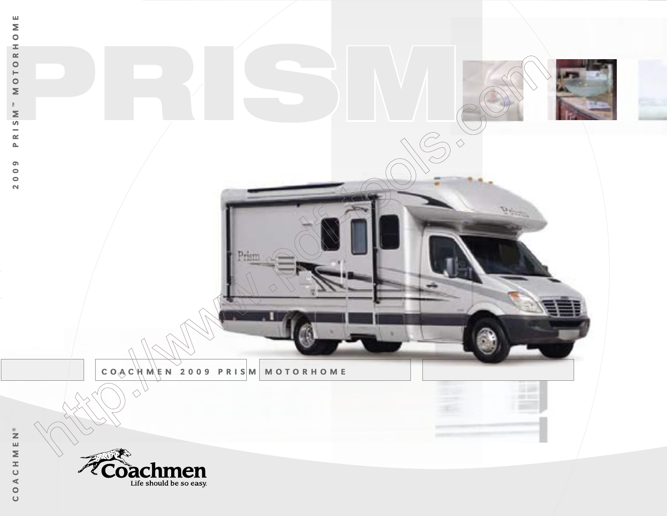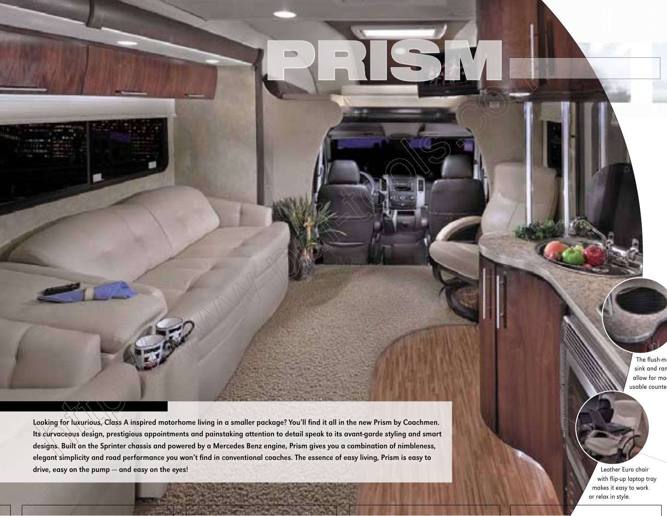## $\overline{\langle\backslash\mathbb{A}\langle\;\langle\;\rangle\;\rangle}$

Looking for luxurious, Class A inspired motorhome living in a smaller package? You'll find it all in the new Prism by Coachmen. Its curvaceous design, prestigious appointments and painstaking attention to detail speak to its avant-garde styling and smart designs. Built on the Sprinter chassis and powered by a Mercedes Benz engine, Prism gives you a combination of nimbleness, elegant simplicity and road performance you won't find in conventional coaches. The essence of easy living, Prism is easy to drive, easy on the pump — and easy on the eyes!

PRISM

The flush-m sink and ran allow for mo usable counte

 Leather Euro chair with flip-up laptop tray makes it easy to work or relax in style.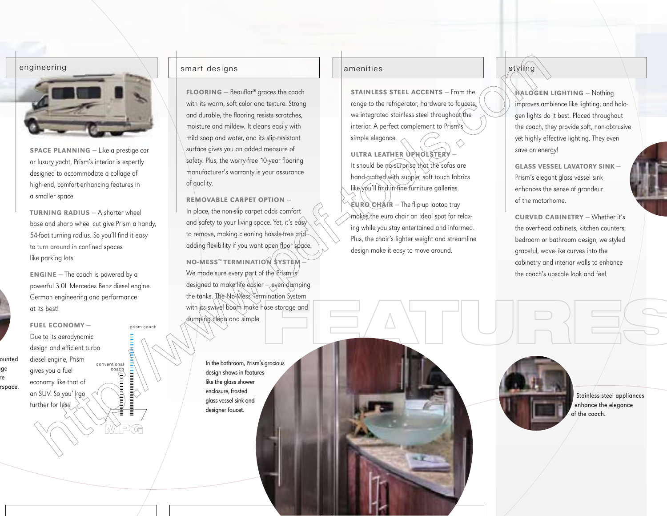

SPACE PLANNING — Like a prestige car or luxury yacht, Prism's interior is expertly designed to accommodate a collage of high-end, comfort-enhancing features in a smaller space.

TURNING RADIUS — A shorter wheel base and sharp wheel cut give Prism a handy, 54-foot turning radius. So you'll find it easy to turn around in confined spaces like parking lots.

ENGINE — The coach is powered by a powerful 3.0L Mercedes Benz diesel engine. German engineering and performance at its best!

coach

M

prism coach

**QAnnun** 

aliminimining S

ĐÆ

FUEL ECONOMY — Due to its aerodynamic design and efficient turbo diesel engine, Prism gives you a fuel economy like that of an SUV. So you'll go conventional

further for less!

ounted ige

rspace.

re

### smart designs

FLOORING — Beauflor® graces the coach with its warm, soft color and texture. Strong and durable, the flooring resists scratches, moisture and mildew. It cleans easily with mild soap and water, and its slip-resistant surface gives you an added measure of safety. Plus, the worry-free 10-year flooring manufacturer's warranty is your assurance of quality.

REMOVABLE CARPET OPTION — In place, the non-slip carpet adds comfort and safety to your living space. Yet, it's easy to remove, making cleaning hassle-free and adding flexibility if you want open floor space. **NO-MESS™ TERMINATION SYSTEM** We made sure every part of the Prism is designed to make life easier - even dumping the tanks. The No-Mess Termination System with its swivel boom make hose storage and dumping clean and simple.

> In the bathroom, Prism's gracious design shows in features like the glass shower enclosure, frosted glass vessel sink and designer faucet.

STAINLESS STEEL ACCENTS — From the range to the refrigerator, hardware to faucets, we integrated stainless steel throughout the interior. A perfect complement to Prism's simple elegance.

∧

ULTRA LEATHER UPHOLSTERY It should be no surprise that the sofas are hand-crafted with supple, soft touch fabrics like you'll find in fine furniture galleries.

 $EUROCHAIR$  – The flip-up laptop tray makes the euro chair an ideal spot for relaxing while you stay entertained and informed. Plus, the chair's lighter weight and streamline design make it easy to move around.

HALOGEN LIGHTING — Nothing improves ambience like lighting, and halogen lights do it best. Placed throughout the coach, they provide soft, non-obtrusive yet highly effective lighting. They even

GLASS VESSEL LAVATORY SINK — Prism's elegant glass vessel sink enhances the sense of grandeur of the motorhome.

save on energy!

CURVED CABINETRY — Whether it's the overhead cabinets, kitchen counters, bedroom or bathroom design, we styled graceful, wave-like curves into the cabinetry and interior walls to enhance the coach's upscale look and feel.



 Stainless steel appliances enhance the elegance of the coach.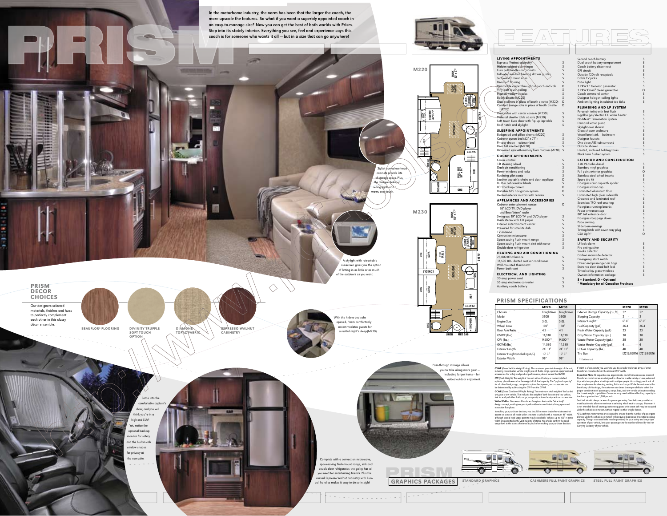Step into its std.<br>Step into its std.<br>coach is for so In the motorhome industry, the norm has been that the larger the coach, the more upscale the features. So what if you want a superbly appointed coach in an easy-to-manage size? Now you can get the best of both worlds with Prism. Step into its stately interior. Everything you see, feel and experience says this coach is for someone who wants it all — but in a size that can go anywhere!

**MED CAB**



## PRISM DECOR CHOICES

Our designers selected materials, finishes and hues to perfectly complement each other in this classy décor ensemble.



BEAUFLOR® FLOORING DIVINITY TRUFFLE

SOFT TOUCH OPTION

DIAMOND TOPAZ FABRIC

A skylight with retractable sunscreen gives you the option of letting in as little or as much of the outdoors as you want.

Stylish curved overhead cabinets provide lots of storage space. Plus, the designer halogen ceiling lights add a warm, cozy touch.

Pass-through storage allows

 you to take along more gear including larger items — for added outdoor enjoyment.

 Settle into the comfortable captain chair, and you will think you're in a high-end SUV!  $\epsilon$ t, notice the optional back-up monitor for safety and the built-in cab window shades for privacy at the campsite.

**GVWR** (Gross Vehicle Weight Rating): The maximum permissible weight of the unit,<br>including the unloaded vehicle weight plus all fluids, cargo, optional equipment and<br>accessories. For safety and product performance, do not CW (Curb Weight): The weight of the unit without factor options, plus allowance for the weight of full fuel capacity. The "payload capacity"

PRISM SPECIFICATIONS

55 amp electronic converter Auxiliary coach battery

M230 **SHOWER**

PRISM



|                                 | <b>M220</b>      | M230             |                                     | M220        | M230           |  |  |
|---------------------------------|------------------|------------------|-------------------------------------|-------------|----------------|--|--|
| Chassis                         | Freightliner     | Freightliner     | Exterior Storage Capacity (cu. ft.) | 52          | 52             |  |  |
| Model                           | 3500             | 3500             | <b>Sleeping Capacity</b>            | 2           | $\overline{2}$ |  |  |
| <b>Engine Size</b>              | 3.0 <sub>L</sub> | 3.0 <sub>L</sub> | Interior Height                     | 6' 6''      | 6' 6''         |  |  |
| Wheel Base                      | 170"             | 170"             | Fuel Capacity (gal.)                | 26.4        | 26.4           |  |  |
| Rear Axle Ratio                 | 4.1              | 4.1              | Fresh Water Capacity (gal.)         | 23          | 23             |  |  |
| GVWR (lbs.)                     | 11,030           | 11,030           | Gray Water Capacity (gal.)          | 38          | 38             |  |  |
| CW (lbs.)                       | $9.500**$        | $9.500**$        | Waste Water Capacity (gal.)         | 38          | 38             |  |  |
| GCWR (lbs.)                     | 14.530           | 14.530           | Water Heater Capacity (gal.)        | 6           | 6              |  |  |
| <b>Exterior Length</b>          | 24' 11"          | 24' 11"          | LP Gas Capacity (lbs.)              | 40          | 40             |  |  |
| Exterior Height (including A/C) | 10'3''           | 10'3''           | <b>Tire Size</b>                    | LT215/85R16 | LT215/85R16    |  |  |
| <b>Exterior Width</b>           | 96"              | 96"              | ** Estimated                        |             |                |  |  |

**Prism M-220**

LIVING APPOINTMENTS

ESPRESSO WALNUT CABINETRY

With the hide-a-bed sofa opened, Prism comfortably accommodates guests for a restful night's sleep(M230).

> for all other fluids, cargo, occupants, optional equipment, and accessories can be determined by subtracting the CW from the GVWR. GCWR (Gross Combined Weight Rating): The maximum total weight of the loaded unit, plus a tow vehicle. This includes the weight of both the unit and tow vehicle, fuel for each, all other fluids, cargo, occupants, optional equipment and accessories.

Wider Widths: Numerous Coachmen floorplans feature the "wide body" design concept, which gives you significantly enhanced interior living space and innovative floorplans.

In making your purchase decision, you should be aware that a few states restrict access on some or all roads within the state to vehicle with a maximum 96" width, although special road usage permits may be available. Vehicles up to 102" in some width are permitted in the vast majority of states. You should confirm the road usage laws in the states of interest to you before making your purchase decision.

| אווע ארר טוואוואנא ק                             |              |  |
|--------------------------------------------------|--------------|--|
| Espresso Walnut cabinetry                        | S            |  |
| Hidden cabine <del>t d</del> oor/hinges          | S            |  |
| Euro pull ⁄handles on \cabinets                  | S            |  |
| Full extensión ball bearing drawer guides        | S            |  |
| Techwood drawer sides                            | S            |  |
| Beau`flor® flooring                              | S            |  |
| Removable carpet throughout coach and cab        | O            |  |
| Viny soft touch ceiling                          | S            |  |
| Pleated window shades                            | S            |  |
|                                                  | S            |  |
| Booth dinette (M220)                             |              |  |
| Dual recliners in place of booth dinette (M220)  | O            |  |
| Comfort Jounge sofa in place of booth dinette    | O            |  |
| (M220)                                           |              |  |
| Dual sofas with center console (M230)            | S            |  |
| Pedestal dinette table at sofa (M230)            | S            |  |
| Soft touch Euro chair with flip up lap table     | S            |  |
| Roof hatch and skylight                          | S            |  |
| <b>SLEEPING APPOINTMENTS</b>                     |              |  |
|                                                  | S            |  |
| Bedspread and pillow shams (M220)                | $\mathsf{S}$ |  |
| Cabover queen bed (52" x 77")                    |              |  |
| Privacy drape — cabover bed                      | S<br>S       |  |
| Rear full size bed (M220)                        |              |  |
| Hide-a-bed sofa with memory foam mattress (M230) | S            |  |
| <b>COCKPIT APPOINTMENTS</b>                      |              |  |
| Cruise control                                   | S            |  |
| Tilt steering wheel                              | S            |  |
| Dash air conditioning                            | S            |  |
| Power windows and locks                          | S            |  |
| Reclining pilot seats                            | S            |  |
| Leather captain's chairs and dash applique       | 0            |  |
| Built-in cab window blinds                       | S            |  |
| LCD back-up camera                               | O            |  |
| Portable GPS navigation system                   | O            |  |
| Heated exterior mirrors with remote              | S            |  |
|                                                  |              |  |
| APPLIANCES AND ACCESSORIES                       |              |  |
| Cabover entertainment center:                    | O            |  |
| 26" LCD TV, DVD player                           |              |  |
| and Bose Wave® radio                             |              |  |
| Swing-out 19" LCD TV and DVD player              | S            |  |
| Dash stereo with CD player                       | S            |  |
| Exterior entertainment center                    | S            |  |
| Pre-wired for satellite dish                     | S            |  |
| TV antenna                                       | S            |  |
| <b>Convection microwave</b>                      | $\mathsf{S}$ |  |
| Space saving flush-mount range                   | S            |  |
| Space saving flush-mount sink with cover         | S            |  |
| Double-door refrigerator                         | S            |  |
|                                                  |              |  |
| <b>HEATING AND AIR CONDITIONING</b>              |              |  |
| 25,000 BTU furnace                               | S            |  |
| 13,500 BTU ducted roof air conditioner           | S            |  |
| Wall-mounted thermostat                          | S<br>S       |  |
| Power bath vent                                  |              |  |
| <b>ELECTRICAL AND LIGHTING</b>                   |              |  |
| 30 amp power cord                                | S            |  |



If width is of concern to you, we invite you to consider the broad array of other Coachmen models offers in the standard 96" width.

Entrance door dead bolt lock Tinted safety glass windows Owners information package S = Standard, O = Optional

Important Note: All capacities are approximate, and all dimensions are nominal. are designed to allow for a wide va trips with two people or short trips with multiple people. Accordingly, each unit allows ample room for sleeping, seating, fluids and cargo. While the customer is the<br>beneficiary of this design, the customer also bears the responsibility to select the<br>proper combination of passengers, cargo, load, and tow the chassis weight capabilities. Consumer may need additional braking capacity to tow loads greater than 1,000 pounds.

Seat belt should always be worn for passenger safety. Seat belts are provided at most locations to allow convenience in selecting which seat to occupy. However, it<br>is not intended that all seating positions equipped with a seat belt may be occupied<br>while the vehicle is in motion, without regard to othe All Coachmen motorhomes are designed to ensure that the number of passengers

allowed while the vehicle is in motion will always at least equal the stated sleeping capacity. Though extra seat belts may be provided, for your safety and the proper operation of your vehicle, limit your passengers to the number allowed by the Net Carrying Capacity of your vehicle.



pull handles makes it easy to do so in style! GRAPHICS PACKAGES STANDARD GRAPHICS CASHMERE FULL PAINT GRAPHICS STEEL FULL PAINT GRAPHICS

 $\mathcal{L}(\mathcal{L}(\mathcal{L},\mathcal{L},\mathcal{L},\mathcal{L},\mathcal{L},\mathcal{L},\mathcal{L},\mathcal{L}))$ 



Second coach battery

\* Mandatory for all Canadian Provinces

 Complete with a convection microwave, space-saving flush-mount range, sink and double-door refrigerator, the galley has all you need for entertaining friends. Plus the curved Espresso Walnut cabinetry with Euro

77888888888888